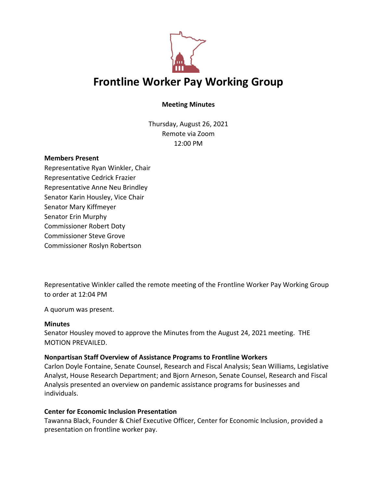

# **Meeting Minutes**

Thursday, August 26, 2021 Remote via Zoom 12:00 PM

#### **Members Present**

Representative Ryan Winkler, Chair Representative Cedrick Frazier Representative Anne Neu Brindley Senator Karin Housley, Vice Chair Senator Mary Kiffmeyer Senator Erin Murphy Commissioner Robert Doty Commissioner Steve Grove Commissioner Roslyn Robertson

Representative Winkler called the remote meeting of the Frontline Worker Pay Working Group to order at 12:04 PM

A quorum was present.

#### **Minutes**

Senator Housley moved to approve the Minutes from the August 24, 2021 meeting. THE MOTION PREVAILED.

#### **Nonpartisan Staff Overview of Assistance Programs to Frontline Workers**

Carlon Doyle Fontaine, Senate Counsel, Research and Fiscal Analysis; Sean Williams, Legislative Analyst, House Research Department; and Bjorn Arneson, Senate Counsel, Research and Fiscal Analysis presented an overview on pandemic assistance programs for businesses and individuals.

### **Center for Economic Inclusion Presentation**

Tawanna Black, Founder & Chief Executive Officer, Center for Economic Inclusion, provided a presentation on frontline worker pay.